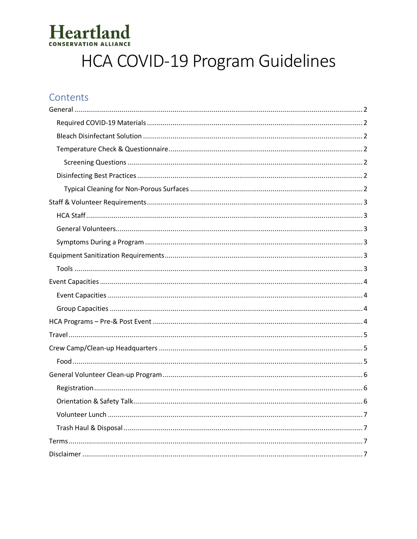# Heartland

# HCA COVID-19 Program Guidelines

# Contents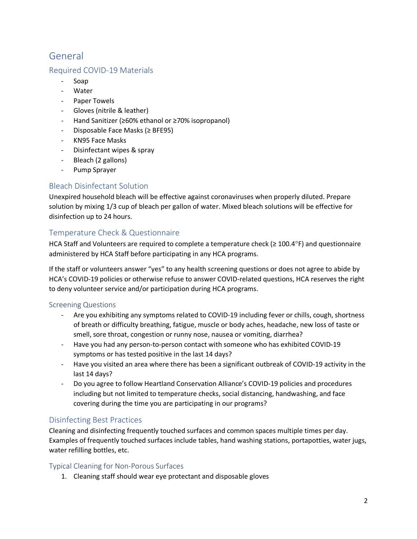# <span id="page-1-0"></span>General

### <span id="page-1-1"></span>Required COVID-19 Materials

- Soap
- Water
- Paper Towels
- Gloves (nitrile & leather)
- Hand Sanitizer (≥60% ethanol or ≥70% isopropanol)
- Disposable Face Masks (≥ BFE95)
- KN95 Face Masks
- Disinfectant wipes & spray
- Bleach (2 gallons)
- Pump Sprayer

### <span id="page-1-2"></span>Bleach Disinfectant Solution

Unexpired household bleach will be effective against coronaviruses when properly diluted. Prepare solution by mixing 1/3 cup of bleach per gallon of water. Mixed bleach solutions will be effective for disinfection up to 24 hours.

# <span id="page-1-3"></span>Temperature Check & Questionnaire

HCA Staff and Volunteers are required to complete a temperature check ( $\geq 100.4^{\circ}$ F) and questionnaire administered by HCA Staff before participating in any HCA programs.

If the staff or volunteers answer "yes" to any health screening questions or does not agree to abide by HCA's COVID-19 policies or otherwise refuse to answer COVID-related questions, HCA reserves the right to deny volunteer service and/or participation during HCA programs.

#### <span id="page-1-4"></span>Screening Questions

- Are you exhibiting any symptoms related to COVID-19 including fever or chills, cough, shortness of breath or difficulty breathing, fatigue, muscle or body aches, headache, new loss of taste or smell, sore throat, congestion or runny nose, nausea or vomiting, diarrhea?
- Have you had any person-to-person contact with someone who has exhibited COVID-19 symptoms or has tested positive in the last 14 days?
- Have you visited an area where there has been a significant outbreak of COVID-19 activity in the last 14 days?
- Do you agree to follow Heartland Conservation Alliance's COVID-19 policies and procedures including but not limited to temperature checks, social distancing, handwashing, and face covering during the time you are participating in our programs?

#### <span id="page-1-5"></span>Disinfecting Best Practices

Cleaning and disinfecting frequently touched surfaces and common spaces multiple times per day. Examples of frequently touched surfaces include tables, hand washing stations, portapotties, water jugs, water refilling bottles, etc.

#### <span id="page-1-6"></span>Typical Cleaning for Non-Porous Surfaces

1. Cleaning staff should wear eye protectant and disposable gloves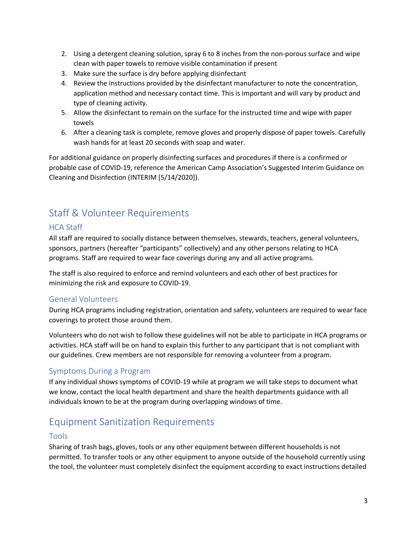- 2. Using a detergent cleaning solution, spray 6 to 8 inches from the non-porous surface and wipe clean with paper towels to remove visible contamination if present
- 3. Make sure the surface is dry before applying disinfectant
- 4. Review the instructions provided by the disinfectant manufacturer to note the concentration, application method and necessary contact time. This is important and will vary by product and type of cleaning activity.
- 5. Allow the disinfectant to remain on the surface for the instructed time and wipe with paper towels
- 6. After a cleaning task is complete, remove gloves and properly dispose of paper towels. Carefully wash hands for at least 20 seconds with soap and water.

For additional guidance on properly disinfecting surfaces and procedures if there is a confirmed or probable case of COVID-19, reference the American Camp Association's Suggested Interim Guidance on Cleaning and Disinfection (INTERIM [5/14/2020]).

# <span id="page-2-0"></span>Staff & Volunteer Requirements

# <span id="page-2-1"></span>HCA Staff

All staff are required to socially distance between themselves, stewards, teachers, general volunteers, sponsors, partners (hereafter "participants" collectively) and any other persons relating to HCA programs. Staff are required to wear face coverings during any and all active programs.

The staff is also required to enforce and remind volunteers and each other of best practices for minimizing the risk and exposure to COVID-19.

# <span id="page-2-2"></span>General Volunteers

During HCA programs including registration, orientation and safety, volunteers are required to wear face coverings to protect those around them.

Volunteers who do not wish to follow these guidelines will not be able to participate in HCA programs or activities. HCA staff will be on hand to explain this further to any participant that is not compliant with our guidelines. Crew members are not responsible for removing a volunteer from a program.

#### <span id="page-2-3"></span>Symptoms During a Program

If any individual shows symptoms of COVID-19 while at program we will take steps to document what we know, contact the local health department and share the health departments guidance with all individuals known to be at the program during overlapping windows of time.

# <span id="page-2-4"></span>Equipment Sanitization Requirements

#### <span id="page-2-5"></span>Tools

Sharing of trash bags, gloves, tools or any other equipment between different households is not permitted. To transfer tools or any other equipment to anyone outside of the household currently using the tool, the volunteer must completely disinfect the equipment according to exact instructions detailed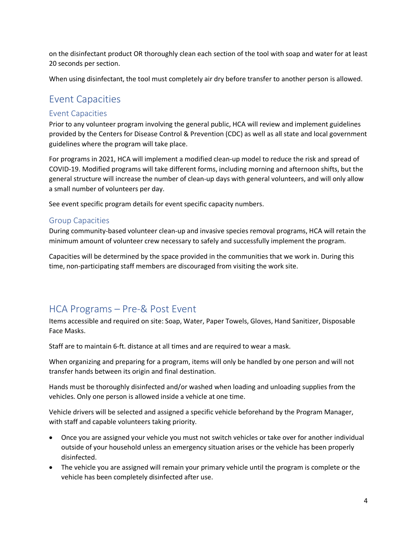on the disinfectant product OR thoroughly clean each section of the tool with soap and water for at least 20 seconds per section.

When using disinfectant, the tool must completely air dry before transfer to another person is allowed.

# <span id="page-3-0"></span>Event Capacities

#### <span id="page-3-1"></span>Event Capacities

Prior to any volunteer program involving the general public, HCA will review and implement guidelines provided by the Centers for Disease Control & Prevention (CDC) as well as all state and local government guidelines where the program will take place.

For programs in 2021, HCA will implement a modified clean-up model to reduce the risk and spread of COVID-19. Modified programs will take different forms, including morning and afternoon shifts, but the general structure will increase the number of clean-up days with general volunteers, and will only allow a small number of volunteers per day.

See event specific program details for event specific capacity numbers.

#### <span id="page-3-2"></span>Group Capacities

During community-based volunteer clean-up and invasive species removal programs, HCA will retain the minimum amount of volunteer crew necessary to safely and successfully implement the program.

Capacities will be determined by the space provided in the communities that we work in. During this time, non-participating staff members are discouraged from visiting the work site.

# <span id="page-3-3"></span>HCA Programs – Pre-& Post Event

Items accessible and required on site: Soap, Water, Paper Towels, Gloves, Hand Sanitizer, Disposable Face Masks.

Staff are to maintain 6-ft. distance at all times and are required to wear a mask.

When organizing and preparing for a program, items will only be handled by one person and will not transfer hands between its origin and final destination.

Hands must be thoroughly disinfected and/or washed when loading and unloading supplies from the vehicles. Only one person is allowed inside a vehicle at one time.

Vehicle drivers will be selected and assigned a specific vehicle beforehand by the Program Manager, with staff and capable volunteers taking priority.

- Once you are assigned your vehicle you must not switch vehicles or take over for another individual outside of your household unless an emergency situation arises or the vehicle has been properly disinfected.
- The vehicle you are assigned will remain your primary vehicle until the program is complete or the vehicle has been completely disinfected after use.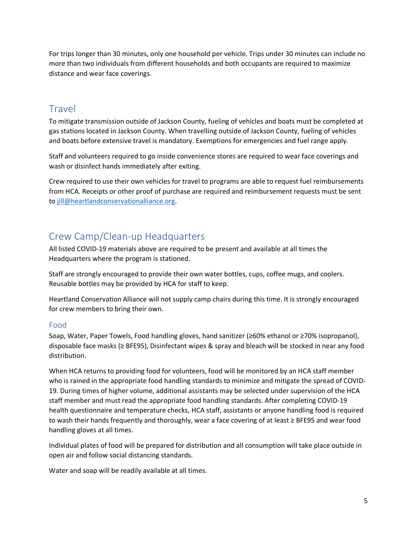For trips longer than 30 minutes, only one household per vehicle. Trips under 30 minutes can include no more than two individuals from different households and both occupants are required to maximize distance and wear face coverings.

# <span id="page-4-0"></span>**Travel**

To mitigate transmission outside of Jackson County, fueling of vehicles and boats must be completed at gas stations located in Jackson County. When travelling outside of Jackson County, fueling of vehicles and boats before extensive travel is mandatory. Exemptions for emergencies and fuel range apply.

Staff and volunteers required to go inside convenience stores are required to wear face coverings and wash or disinfect hands immediately after exiting.

Crew required to use their own vehicles for travel to programs are able to request fuel reimbursements from HCA. Receipts or other proof of purchase are required and reimbursement requests must be sent to [jill@heartlandconservationalliance.org.](mailto:jill@heartlandconservationalliance.org)

# <span id="page-4-1"></span>Crew Camp/Clean-up Headquarters

All listed COVID-19 materials above are required to be present and available at all times the Headquarters where the program is stationed.

Staff are strongly encouraged to provide their own water bottles, cups, coffee mugs, and coolers. Reusable bottles may be provided by HCA for staff to keep.

Heartland Conservation Alliance will not supply camp chairs during this time. It is strongly encouraged for crew members to bring their own.

# <span id="page-4-2"></span>Food

Soap, Water, Paper Towels, Food handling gloves, hand sanitizer (≥60% ethanol or ≥70% isopropanol), disposable face masks (≥ BFE95), Disinfectant wipes & spray and bleach will be stocked in near any food distribution.

When HCA returns to providing food for volunteers, food will be monitored by an HCA staff member who is rained in the appropriate food handling standards to minimize and mitigate the spread of COVID-19. During times of higher volume, additional assistants may be selected under supervision of the HCA staff member and must read the appropriate food handling standards. After completing COVID-19 health questionnaire and temperature checks, HCA staff, assistants or anyone handling food is required to wash their hands frequently and thoroughly, wear a face covering of at least ≥ BFE95 and wear food handling gloves at all times.

Individual plates of food will be prepared for distribution and all consumption will take place outside in open air and follow social distancing standards.

Water and soap will be readily available at all times.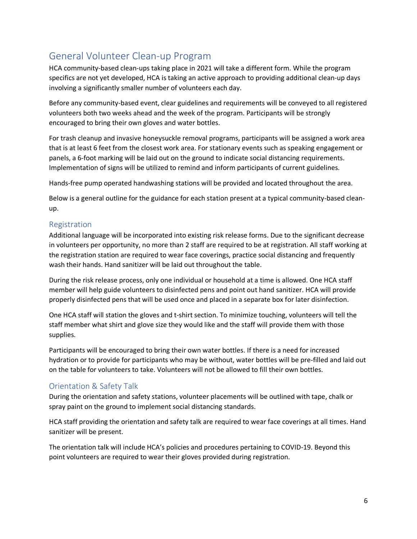# <span id="page-5-0"></span>General Volunteer Clean-up Program

HCA community-based clean-ups taking place in 2021 will take a different form. While the program specifics are not yet developed, HCA is taking an active approach to providing additional clean-up days involving a significantly smaller number of volunteers each day.

Before any community-based event, clear guidelines and requirements will be conveyed to all registered volunteers both two weeks ahead and the week of the program. Participants will be strongly encouraged to bring their own gloves and water bottles.

For trash cleanup and invasive honeysuckle removal programs, participants will be assigned a work area that is at least 6 feet from the closest work area. For stationary events such as speaking engagement or panels, a 6-foot marking will be laid out on the ground to indicate social distancing requirements. Implementation of signs will be utilized to remind and inform participants of current guidelines.

Hands-free pump operated handwashing stations will be provided and located throughout the area.

Below is a general outline for the guidance for each station present at a typical community-based cleanup.

#### <span id="page-5-1"></span>Registration

Additional language will be incorporated into existing risk release forms. Due to the significant decrease in volunteers per opportunity, no more than 2 staff are required to be at registration. All staff working at the registration station are required to wear face coverings, practice social distancing and frequently wash their hands. Hand sanitizer will be laid out throughout the table.

During the risk release process, only one individual or household at a time is allowed. One HCA staff member will help guide volunteers to disinfected pens and point out hand sanitizer. HCA will provide properly disinfected pens that will be used once and placed in a separate box for later disinfection.

One HCA staff will station the gloves and t-shirt section. To minimize touching, volunteers will tell the staff member what shirt and glove size they would like and the staff will provide them with those supplies.

Participants will be encouraged to bring their own water bottles. If there is a need for increased hydration or to provide for participants who may be without, water bottles will be pre-filled and laid out on the table for volunteers to take. Volunteers will not be allowed to fill their own bottles.

# <span id="page-5-2"></span>Orientation & Safety Talk

During the orientation and safety stations, volunteer placements will be outlined with tape, chalk or spray paint on the ground to implement social distancing standards.

HCA staff providing the orientation and safety talk are required to wear face coverings at all times. Hand sanitizer will be present.

The orientation talk will include HCA's policies and procedures pertaining to COVID-19. Beyond this point volunteers are required to wear their gloves provided during registration.